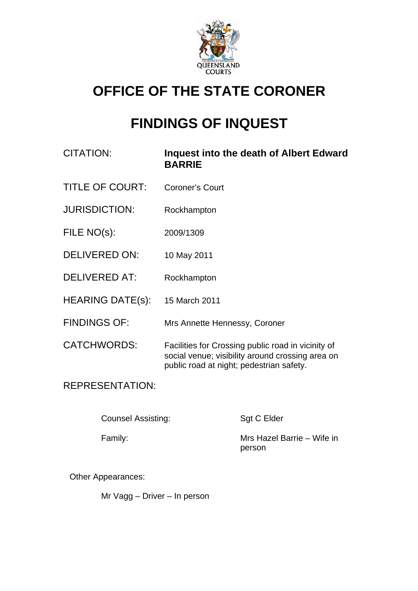

# **OFFICE OF THE STATE CORONER**

# **FINDINGS OF INQUEST**

- CITATION: **Inquest into the death of Albert Edward BARRIE**
- TITLE OF COURT: Coroner's Court
- JURISDICTION: Rockhampton
- FILE NO(s): 2009/1309
- DELIVERED ON: 10 May 2011
- DELIVERED AT: Rockhampton
- HEARING DATE(s): 15 March 2011
- FINDINGS OF: Mrs Annette Hennessy, Coroner
- CATCHWORDS: Facilities for Crossing public road in vicinity of social venue; visibility around crossing area on public road at night; pedestrian safety.

# REPRESENTATION:

Counsel Assisting: Sgt C Elder

Family: Mrs Hazel Barrie – Wife in person

Other Appearances:

Mr Vagg – Driver – In person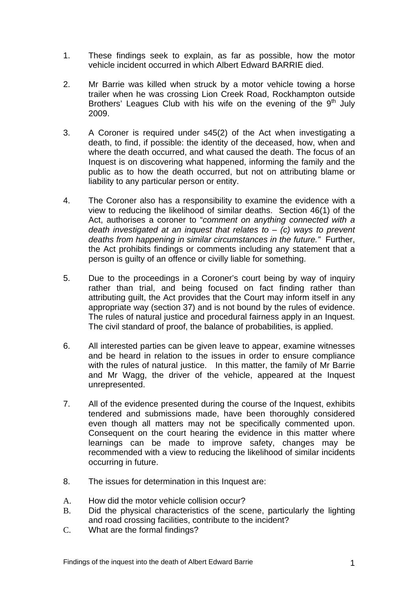- 1. These findings seek to explain, as far as possible, how the motor vehicle incident occurred in which Albert Edward BARRIE died.
- 2. Mr Barrie was killed when struck by a motor vehicle towing a horse trailer when he was crossing Lion Creek Road, Rockhampton outside Brothers' Leagues Club with his wife on the evening of the  $9<sup>th</sup>$  July 2009.
- 3. A Coroner is required under s45(2) of the Act when investigating a death, to find, if possible: the identity of the deceased, how, when and where the death occurred, and what caused the death. The focus of an Inquest is on discovering what happened, informing the family and the public as to how the death occurred, but not on attributing blame or liability to any particular person or entity.
- 4. The Coroner also has a responsibility to examine the evidence with a view to reducing the likelihood of similar deaths. Section 46(1) of the Act, authorises a coroner to "*comment on anything connected with a death investigated at an inquest that relates to* – *(c) ways to prevent deaths from happening in similar circumstances in the future."* Further, the Act prohibits findings or comments including any statement that a person is guilty of an offence or civilly liable for something.
- 5. Due to the proceedings in a Coroner's court being by way of inquiry rather than trial, and being focused on fact finding rather than attributing guilt, the Act provides that the Court may inform itself in any appropriate way (section 37) and is not bound by the rules of evidence. The rules of natural justice and procedural fairness apply in an Inquest. The civil standard of proof, the balance of probabilities, is applied.
- 6. All interested parties can be given leave to appear, examine witnesses and be heard in relation to the issues in order to ensure compliance with the rules of natural justice. In this matter, the family of Mr Barrie and Mr Wagg, the driver of the vehicle, appeared at the Inquest unrepresented.
- 7. All of the evidence presented during the course of the Inquest, exhibits tendered and submissions made, have been thoroughly considered even though all matters may not be specifically commented upon. Consequent on the court hearing the evidence in this matter where learnings can be made to improve safety, changes may be recommended with a view to reducing the likelihood of similar incidents occurring in future.
- 8. The issues for determination in this Inquest are:
- A. How did the motor vehicle collision occur?
- B. Did the physical characteristics of the scene, particularly the lighting and road crossing facilities, contribute to the incident?
- C. What are the formal findings?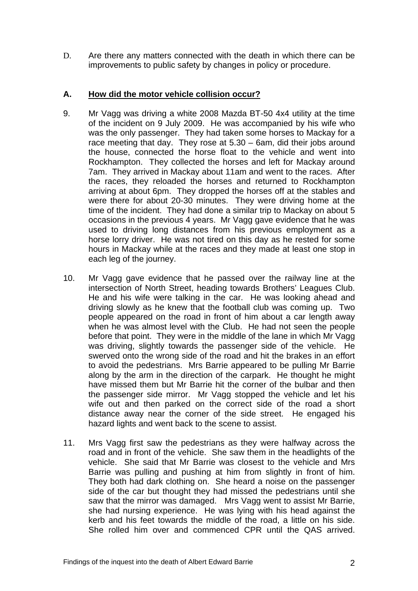D. Are there any matters connected with the death in which there can be improvements to public safety by changes in policy or procedure.

## **A. How did the motor vehicle collision occur?**

- 9. Mr Vagg was driving a white 2008 Mazda BT-50 4x4 utility at the time of the incident on 9 July 2009. He was accompanied by his wife who was the only passenger. They had taken some horses to Mackay for a race meeting that day. They rose at 5.30 – 6am, did their jobs around the house, connected the horse float to the vehicle and went into Rockhampton. They collected the horses and left for Mackay around 7am. They arrived in Mackay about 11am and went to the races. After the races, they reloaded the horses and returned to Rockhampton arriving at about 6pm. They dropped the horses off at the stables and were there for about 20-30 minutes. They were driving home at the time of the incident. They had done a similar trip to Mackay on about 5 occasions in the previous 4 years. Mr Vagg gave evidence that he was used to driving long distances from his previous employment as a horse lorry driver. He was not tired on this day as he rested for some hours in Mackay while at the races and they made at least one stop in each leg of the journey.
- 10. Mr Vagg gave evidence that he passed over the railway line at the intersection of North Street, heading towards Brothers' Leagues Club. He and his wife were talking in the car. He was looking ahead and driving slowly as he knew that the football club was coming up. Two people appeared on the road in front of him about a car length away when he was almost level with the Club. He had not seen the people before that point. They were in the middle of the lane in which Mr Vagg was driving, slightly towards the passenger side of the vehicle. He swerved onto the wrong side of the road and hit the brakes in an effort to avoid the pedestrians. Mrs Barrie appeared to be pulling Mr Barrie along by the arm in the direction of the carpark. He thought he might have missed them but Mr Barrie hit the corner of the bulbar and then the passenger side mirror. Mr Vagg stopped the vehicle and let his wife out and then parked on the correct side of the road a short distance away near the corner of the side street. He engaged his hazard lights and went back to the scene to assist.
- 11. Mrs Vagg first saw the pedestrians as they were halfway across the road and in front of the vehicle. She saw them in the headlights of the vehicle. She said that Mr Barrie was closest to the vehicle and Mrs Barrie was pulling and pushing at him from slightly in front of him. They both had dark clothing on. She heard a noise on the passenger side of the car but thought they had missed the pedestrians until she saw that the mirror was damaged. Mrs Vagg went to assist Mr Barrie, she had nursing experience. He was lying with his head against the kerb and his feet towards the middle of the road, a little on his side. She rolled him over and commenced CPR until the QAS arrived.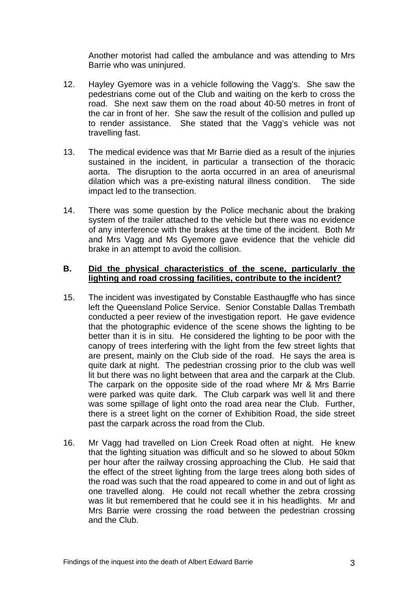Another motorist had called the ambulance and was attending to Mrs Barrie who was uninjured.

- 12. Hayley Gyemore was in a vehicle following the Vagg's. She saw the pedestrians come out of the Club and waiting on the kerb to cross the road. She next saw them on the road about 40-50 metres in front of the car in front of her. She saw the result of the collision and pulled up to render assistance. She stated that the Vagg's vehicle was not travelling fast.
- 13. The medical evidence was that Mr Barrie died as a result of the injuries sustained in the incident, in particular a transection of the thoracic aorta. The disruption to the aorta occurred in an area of aneurismal dilation which was a pre-existing natural illness condition. The side impact led to the transection.
- 14. There was some question by the Police mechanic about the braking system of the trailer attached to the vehicle but there was no evidence of any interference with the brakes at the time of the incident. Both Mr and Mrs Vagg and Ms Gyemore gave evidence that the vehicle did brake in an attempt to avoid the collision.

#### **B. Did the physical characteristics of the scene, particularly the lighting and road crossing facilities, contribute to the incident?**

- 15. The incident was investigated by Constable Easthaugffe who has since left the Queensland Police Service. Senior Constable Dallas Trembath conducted a peer review of the investigation report. He gave evidence that the photographic evidence of the scene shows the lighting to be better than it is in situ. He considered the lighting to be poor with the canopy of trees interfering with the light from the few street lights that are present, mainly on the Club side of the road. He says the area is quite dark at night. The pedestrian crossing prior to the club was well lit but there was no light between that area and the carpark at the Club. The carpark on the opposite side of the road where Mr & Mrs Barrie were parked was quite dark. The Club carpark was well lit and there was some spillage of light onto the road area near the Club. Further, there is a street light on the corner of Exhibition Road, the side street past the carpark across the road from the Club.
- 16. Mr Vagg had travelled on Lion Creek Road often at night. He knew that the lighting situation was difficult and so he slowed to about 50km per hour after the railway crossing approaching the Club. He said that the effect of the street lighting from the large trees along both sides of the road was such that the road appeared to come in and out of light as one travelled along. He could not recall whether the zebra crossing was lit but remembered that he could see it in his headlights. Mr and Mrs Barrie were crossing the road between the pedestrian crossing and the Club.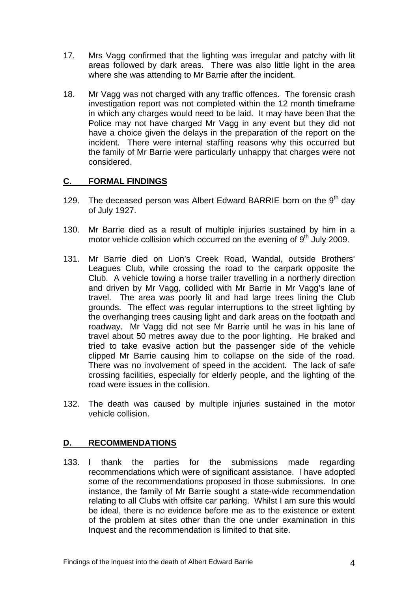- 17. Mrs Vagg confirmed that the lighting was irregular and patchy with lit areas followed by dark areas. There was also little light in the area where she was attending to Mr Barrie after the incident.
- 18. Mr Vagg was not charged with any traffic offences. The forensic crash investigation report was not completed within the 12 month timeframe in which any charges would need to be laid. It may have been that the Police may not have charged Mr Vagg in any event but they did not have a choice given the delays in the preparation of the report on the incident. There were internal staffing reasons why this occurred but the family of Mr Barrie were particularly unhappy that charges were not considered.

# **C. FORMAL FINDINGS**

- 129. The deceased person was Albert Edward BARRIE born on the  $9<sup>th</sup>$  dav of July 1927.
- 130. Mr Barrie died as a result of multiple injuries sustained by him in a motor vehicle collision which occurred on the evening of  $9<sup>th</sup>$  July 2009.
- 131. Mr Barrie died on Lion's Creek Road, Wandal, outside Brothers' Leagues Club, while crossing the road to the carpark opposite the Club. A vehicle towing a horse trailer travelling in a northerly direction and driven by Mr Vagg, collided with Mr Barrie in Mr Vagg's lane of travel. The area was poorly lit and had large trees lining the Club grounds. The effect was regular interruptions to the street lighting by the overhanging trees causing light and dark areas on the footpath and roadway. Mr Vagg did not see Mr Barrie until he was in his lane of travel about 50 metres away due to the poor lighting. He braked and tried to take evasive action but the passenger side of the vehicle clipped Mr Barrie causing him to collapse on the side of the road. There was no involvement of speed in the accident. The lack of safe crossing facilities, especially for elderly people, and the lighting of the road were issues in the collision.
- 132. The death was caused by multiple injuries sustained in the motor vehicle collision.

### **D. RECOMMENDATIONS**

133. I thank the parties for the submissions made regarding recommendations which were of significant assistance. I have adopted some of the recommendations proposed in those submissions. In one instance, the family of Mr Barrie sought a state-wide recommendation relating to all Clubs with offsite car parking. Whilst I am sure this would be ideal, there is no evidence before me as to the existence or extent of the problem at sites other than the one under examination in this Inquest and the recommendation is limited to that site.